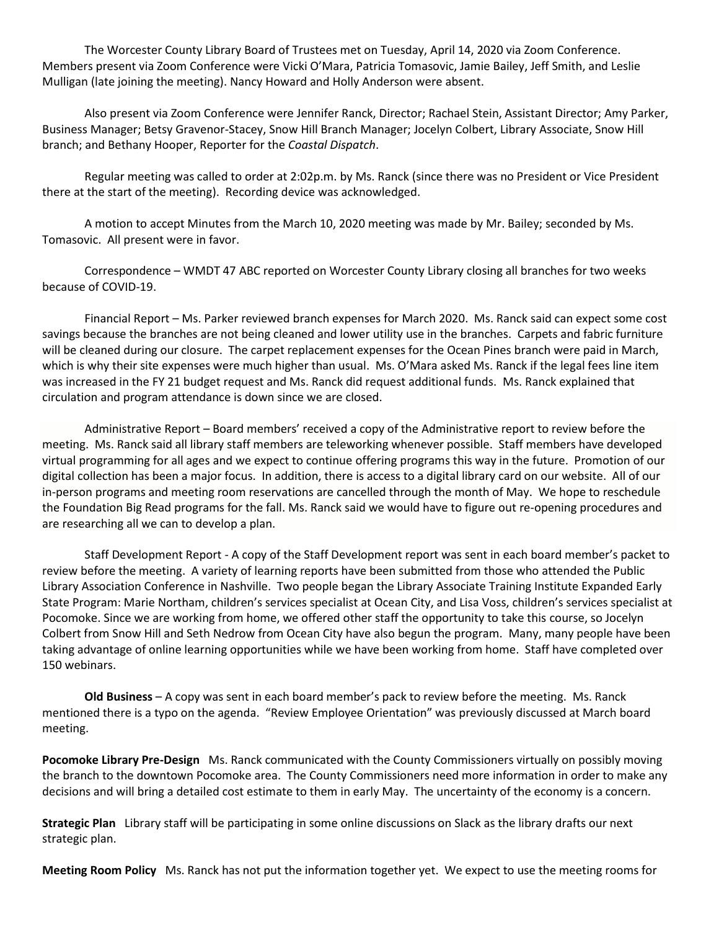The Worcester County Library Board of Trustees met on Tuesday, April 14, 2020 via Zoom Conference. Members present via Zoom Conference were Vicki O'Mara, Patricia Tomasovic, Jamie Bailey, Jeff Smith, and Leslie Mulligan (late joining the meeting). Nancy Howard and Holly Anderson were absent.

Also present via Zoom Conference were Jennifer Ranck, Director; Rachael Stein, Assistant Director; Amy Parker, Business Manager; Betsy Gravenor-Stacey, Snow Hill Branch Manager; Jocelyn Colbert, Library Associate, Snow Hill branch; and Bethany Hooper, Reporter for the *Coastal Dispatch*.

Regular meeting was called to order at 2:02p.m. by Ms. Ranck (since there was no President or Vice President there at the start of the meeting). Recording device was acknowledged.

A motion to accept Minutes from the March 10, 2020 meeting was made by Mr. Bailey; seconded by Ms. Tomasovic. All present were in favor.

Correspondence – WMDT 47 ABC reported on Worcester County Library closing all branches for two weeks because of COVID-19.

Financial Report – Ms. Parker reviewed branch expenses for March 2020. Ms. Ranck said can expect some cost savings because the branches are not being cleaned and lower utility use in the branches. Carpets and fabric furniture will be cleaned during our closure. The carpet replacement expenses for the Ocean Pines branch were paid in March, which is why their site expenses were much higher than usual. Ms. O'Mara asked Ms. Ranck if the legal fees line item was increased in the FY 21 budget request and Ms. Ranck did request additional funds. Ms. Ranck explained that circulation and program attendance is down since we are closed.

Administrative Report – Board members' received a copy of the Administrative report to review before the meeting. Ms. Ranck said all library staff members are teleworking whenever possible. Staff members have developed virtual programming for all ages and we expect to continue offering programs this way in the future. Promotion of our digital collection has been a major focus. In addition, there is access to a digital library card on our website. All of our in-person programs and meeting room reservations are cancelled through the month of May. We hope to reschedule the Foundation Big Read programs for the fall. Ms. Ranck said we would have to figure out re-opening procedures and are researching all we can to develop a plan.

Staff Development Report - A copy of the Staff Development report was sent in each board member's packet to review before the meeting. A variety of learning reports have been submitted from those who attended the Public Library Association Conference in Nashville. Two people began the Library Associate Training Institute Expanded Early State Program: Marie Northam, children's services specialist at Ocean City, and Lisa Voss, children's services specialist at Pocomoke. Since we are working from home, we offered other staff the opportunity to take this course, so Jocelyn Colbert from Snow Hill and Seth Nedrow from Ocean City have also begun the program. Many, many people have been taking advantage of online learning opportunities while we have been working from home. Staff have completed over 150 webinars.

**Old Business** – A copy was sent in each board member's pack to review before the meeting. Ms. Ranck mentioned there is a typo on the agenda. "Review Employee Orientation" was previously discussed at March board meeting.

**Pocomoke Library Pre-Design** Ms. Ranck communicated with the County Commissioners virtually on possibly moving the branch to the downtown Pocomoke area. The County Commissioners need more information in order to make any decisions and will bring a detailed cost estimate to them in early May. The uncertainty of the economy is a concern.

**Strategic Plan** Library staff will be participating in some online discussions on Slack as the library drafts our next strategic plan.

**Meeting Room Policy** Ms. Ranck has not put the information together yet. We expect to use the meeting rooms for